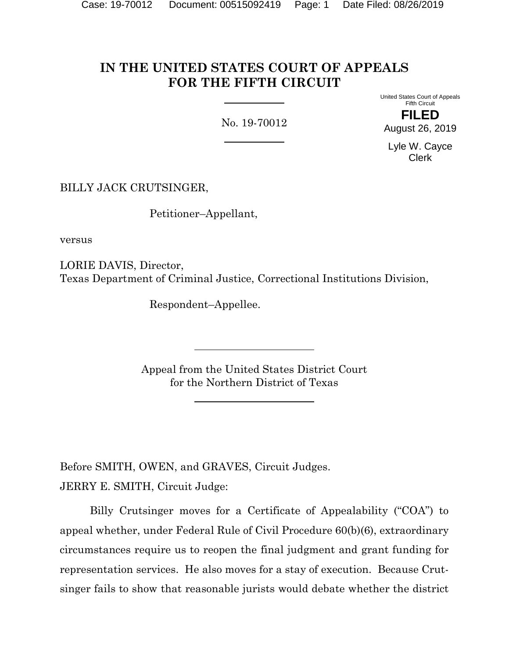# **IN THE UNITED STATES COURT OF APPEALS FOR THE FIFTH CIRCUIT**

No. 19-70012

United States Court of Appeals Fifth Circuit **FILED** August 26, 2019

Lyle W. Cayce Clerk

BILLY JACK CRUTSINGER,

Petitioner–Appellant,

versus

LORIE DAVIS, Director, Texas Department of Criminal Justice, Correctional Institutions Division,

Respondent–Appellee.

Appeal from the United States District Court for the Northern District of Texas

Before SMITH, OWEN, and GRAVES, Circuit Judges. JERRY E. SMITH, Circuit Judge:

Billy Crutsinger moves for a Certificate of Appealability ("COA") to appeal whether, under Federal Rule of Civil Procedure 60(b)(6), extraordinary circumstances require us to reopen the final judgment and grant funding for representation services. He also moves for a stay of execution. Because Crutsinger fails to show that reasonable jurists would debate whether the district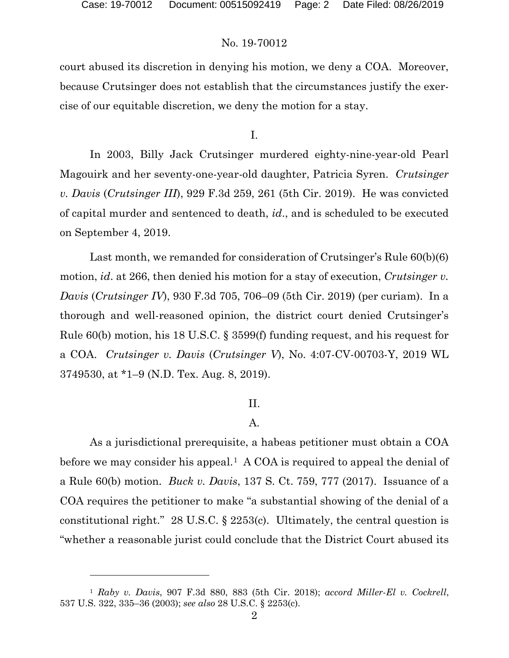# No. 19-70012

court abused its discretion in denying his motion, we deny a COA. Moreover, because Crutsinger does not establish that the circumstances justify the exercise of our equitable discretion, we deny the motion for a stay.

I.

In 2003, Billy Jack Crutsinger murdered eighty-nine-year-old Pearl Magouirk and her seventy-one-year-old daughter, Patricia Syren. *Crutsinger v. Davis* (*Crutsinger III*), 929 F.3d 259, 261 (5th Cir. 2019). He was convicted of capital murder and sentenced to death, *id*., and is scheduled to be executed on September 4, 2019.

Last month, we remanded for consideration of Crutsinger's Rule 60(b)(6) motion, *id*. at 266, then denied his motion for a stay of execution, *Crutsinger v. Davis* (*Crutsinger IV*), 930 F.3d 705, 706–09 (5th Cir. 2019) (per curiam). In a thorough and well-reasoned opinion, the district court denied Crutsinger's Rule 60(b) motion, his 18 U.S.C. § 3599(f) funding request, and his request for a COA. *Crutsinger v. Davis* (*Crutsinger V*), No. 4:07-CV-00703-Y, 2019 WL 3749530, at \*1–9 (N.D. Tex. Aug. 8, 2019).

# II.

# A.

As a jurisdictional prerequisite, a habeas petitioner must obtain a COA before we may consider his appeal.<sup>1</sup> A COA is required to appeal the denial of a Rule 60(b) motion. *Buck v. Davis*, 137 S. Ct. 759, 777 (2017). Issuance of a COA requires the petitioner to make "a substantial showing of the denial of a constitutional right." 28 U.S.C. § 2253(c). Ultimately, the central question is "whether a reasonable jurist could conclude that the District Court abused its

<span id="page-1-0"></span><sup>1</sup> *Raby v. Davis*, 907 F.3d 880, 883 (5th Cir. 2018); *accord Miller-El v. Cockrell*, 537 U.S. 322, 335–36 (2003); *see also* 28 U.S.C. § 2253(c).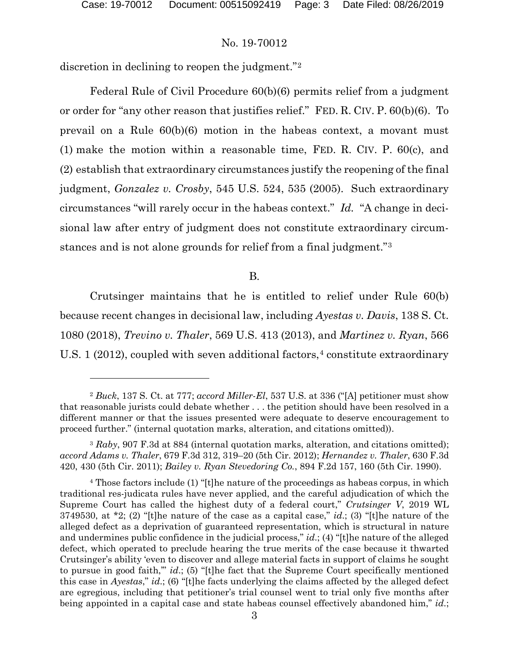$\overline{a}$ 

## No. 19-70012

discretion in declining to reopen the judgment."[2](#page-2-0)

Federal Rule of Civil Procedure 60(b)(6) permits relief from a judgment or order for "any other reason that justifies relief." FED. R. CIV. P. 60(b)(6). To prevail on a Rule 60(b)(6) motion in the habeas context, a movant must (1) make the motion within a reasonable time, FED. R. CIV. P. 60(c), and (2) establish that extraordinary circumstances justify the reopening of the final judgment, *Gonzalez v. Crosby*, 545 U.S. 524, 535 (2005). Such extraordinary circumstances "will rarely occur in the habeas context." *Id.* "A change in decisional law after entry of judgment does not constitute extraordinary circumstances and is not alone grounds for relief from a final judgment."[3](#page-2-1)

B.

Crutsinger maintains that he is entitled to relief under Rule 60(b) because recent changes in decisional law, including *Ayestas v. Davis*, 138 S. Ct. 1080 (2018), *Trevino v. Thaler*, 569 U.S. 413 (2013), and *Martinez v. Ryan*, 566 U.S. 1 (2012), coupled with seven additional factors,<sup>[4](#page-2-2)</sup> constitute extraordinary

<span id="page-2-0"></span><sup>2</sup> *Buck*, 137 S. Ct. at 777; *accord Miller-El*, 537 U.S. at 336 ("[A] petitioner must show that reasonable jurists could debate whether . . . the petition should have been resolved in a different manner or that the issues presented were adequate to deserve encouragement to proceed further." (internal quotation marks, alteration, and citations omitted)).

<span id="page-2-1"></span><sup>3</sup> *Raby*, 907 F.3d at 884 (internal quotation marks, alteration, and citations omitted); *accord Adams v. Thaler*, 679 F.3d 312, 319–20 (5th Cir. 2012); *Hernandez v. Thaler*, 630 F.3d 420, 430 (5th Cir. 2011); *Bailey v. Ryan Stevedoring Co.*, 894 F.2d 157, 160 (5th Cir. 1990).

<span id="page-2-2"></span><sup>4</sup> Those factors include (1) "[t]he nature of the proceedings as habeas corpus, in which traditional res-judicata rules have never applied, and the careful adjudication of which the Supreme Court has called the highest duty of a federal court," *Crutsinger V*, 2019 WL 3749530, at \*2; (2) "[t]he nature of the case as a capital case," *id*.; (3) "[t]he nature of the alleged defect as a deprivation of guaranteed representation, which is structural in nature and undermines public confidence in the judicial process," *id*.; (4) "[t]he nature of the alleged defect, which operated to preclude hearing the true merits of the case because it thwarted Crutsinger's ability 'even to discover and allege material facts in support of claims he sought to pursue in good faith,'" *id*.; (5) "[t]he fact that the Supreme Court specifically mentioned this case in *Ayestas*," *id*.; (6) "[t]he facts underlying the claims affected by the alleged defect are egregious, including that petitioner's trial counsel went to trial only five months after being appointed in a capital case and state habeas counsel effectively abandoned him," *id*.;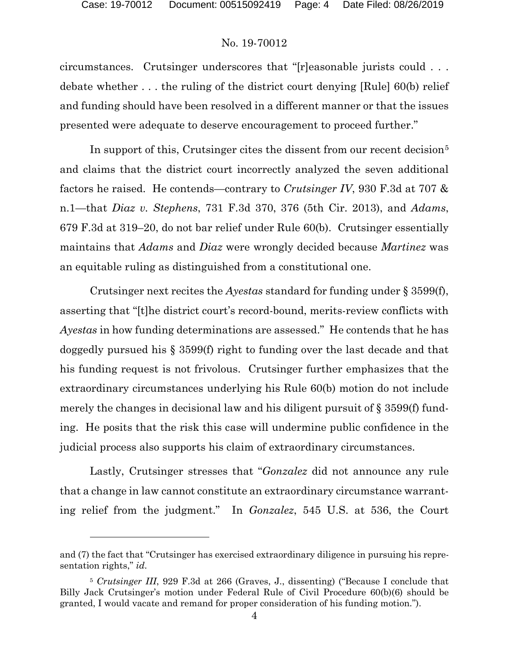# No. 19-70012

circumstances. Crutsinger underscores that "[r]easonable jurists could . . . debate whether . . . the ruling of the district court denying [Rule] 60(b) relief and funding should have been resolved in a different manner or that the issues presented were adequate to deserve encouragement to proceed further."

In support of this, Crutsinger cites the dissent from our recent decision<sup>[5](#page-3-0)</sup> and claims that the district court incorrectly analyzed the seven additional factors he raised. He contends—contrary to *Crutsinger IV*, 930 F.3d at 707 & n.1—that *Diaz v. Stephens*, 731 F.3d 370, 376 (5th Cir. 2013), and *Adams*, 679 F.3d at 319–20, do not bar relief under Rule 60(b). Crutsinger essentially maintains that *Adams* and *Diaz* were wrongly decided because *Martinez* was an equitable ruling as distinguished from a constitutional one.

Crutsinger next recites the *Ayestas* standard for funding under § 3599(f), asserting that "[t]he district court's record-bound, merits-review conflicts with *Ayestas* in how funding determinations are assessed." He contends that he has doggedly pursued his § 3599(f) right to funding over the last decade and that his funding request is not frivolous. Crutsinger further emphasizes that the extraordinary circumstances underlying his Rule 60(b) motion do not include merely the changes in decisional law and his diligent pursuit of § 3599(f) funding. He posits that the risk this case will undermine public confidence in the judicial process also supports his claim of extraordinary circumstances.

Lastly, Crutsinger stresses that "*Gonzalez* did not announce any rule that a change in law cannot constitute an extraordinary circumstance warranting relief from the judgment." In *Gonzalez*, 545 U.S. at 536, the Court

and (7) the fact that "Crutsinger has exercised extraordinary diligence in pursuing his representation rights," *id*.

<span id="page-3-0"></span><sup>5</sup> *Crutsinger III*, 929 F.3d at 266 (Graves, J., dissenting) ("Because I conclude that Billy Jack Crutsinger's motion under Federal Rule of Civil Procedure 60(b)(6) should be granted, I would vacate and remand for proper consideration of his funding motion.").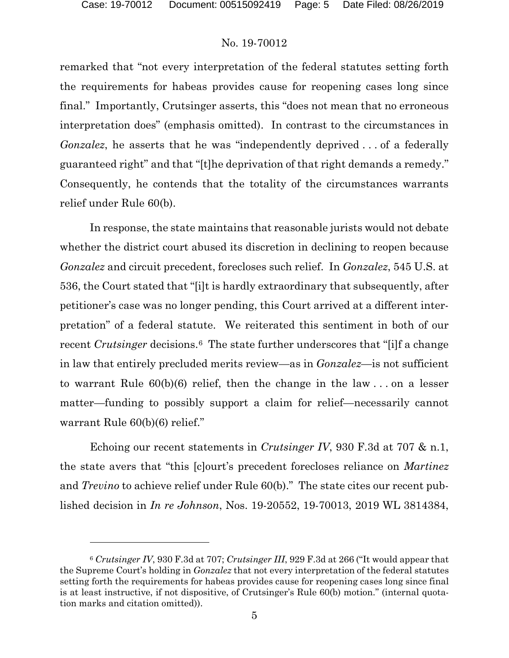# No. 19-70012

remarked that "not every interpretation of the federal statutes setting forth the requirements for habeas provides cause for reopening cases long since final." Importantly, Crutsinger asserts, this "does not mean that no erroneous interpretation does" (emphasis omitted).In contrast to the circumstances in *Gonzalez*, he asserts that he was "independently deprived ... of a federally guaranteed right" and that "[t]he deprivation of that right demands a remedy." Consequently, he contends that the totality of the circumstances warrants relief under Rule 60(b).

In response, the state maintains that reasonable jurists would not debate whether the district court abused its discretion in declining to reopen because *Gonzalez* and circuit precedent, forecloses such relief. In *Gonzalez*, 545 U.S. at 536, the Court stated that "[i]t is hardly extraordinary that subsequently, after petitioner's case was no longer pending, this Court arrived at a different interpretation" of a federal statute. We reiterated this sentiment in both of our recent *Crutsinger* decisions.<sup>6</sup> The state further underscores that "[i]f a change in law that entirely precluded merits review—as in *Gonzalez*—is not sufficient to warrant Rule 60(b)(6) relief, then the change in the law . . . on a lesser matter—funding to possibly support a claim for relief—necessarily cannot warrant Rule  $60(b)(6)$  relief."

Echoing our recent statements in *Crutsinger IV*, 930 F.3d at 707 & n.1, the state avers that "this [c]ourt's precedent forecloses reliance on *Martinez* and *Trevino* to achieve relief under Rule 60(b)." The state cites our recent published decision in *In re Johnson*, Nos. 19-20552, 19-70013, 2019 WL 3814384,

<span id="page-4-0"></span><sup>6</sup> *Crutsinger IV*, 930 F.3d at 707; *Crutsinger III*, 929 F.3d at 266 ("It would appear that the Supreme Court's holding in *Gonzalez* that not every interpretation of the federal statutes setting forth the requirements for habeas provides cause for reopening cases long since final is at least instructive, if not dispositive, of Crutsinger's Rule 60(b) motion." (internal quotation marks and citation omitted)).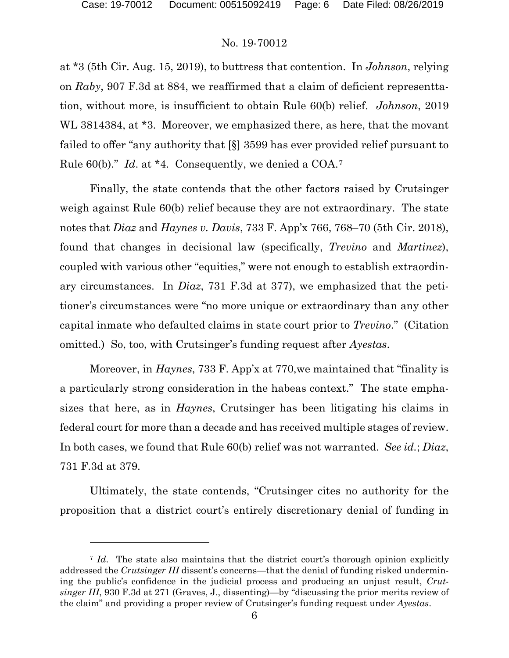## No. 19-70012

at \*3 (5th Cir. Aug. 15, 2019), to buttress that contention. In *Johnson*, relying on *Raby*, 907 F.3d at 884, we reaffirmed that a claim of deficient representtation, without more, is insufficient to obtain Rule 60(b) relief. *Johnson*, 2019 WL 3814384, at \*3. Moreover, we emphasized there, as here, that the movant failed to offer "any authority that [§] 3599 has ever provided relief pursuant to Rule 60(b)." *Id*. at \*4. Consequently, we denied a COA.[7](#page-5-0)

Finally, the state contends that the other factors raised by Crutsinger weigh against Rule 60(b) relief because they are not extraordinary. The state notes that *Diaz* and *Haynes v. Davis*, 733 F. App'x 766, 768–70 (5th Cir. 2018), found that changes in decisional law (specifically, *Trevino* and *Martinez*), coupled with various other "equities," were not enough to establish extraordinary circumstances. In *Diaz*, 731 F.3d at 377), we emphasized that the petitioner's circumstances were "no more unique or extraordinary than any other capital inmate who defaulted claims in state court prior to *Trevino*." (Citation omitted.) So, too, with Crutsinger's funding request after *Ayestas*.

Moreover, in *Haynes*, 733 F. App'x at 770,we maintained that "finality is a particularly strong consideration in the habeas context." The state emphasizes that here, as in *Haynes*, Crutsinger has been litigating his claims in federal court for more than a decade and has received multiple stages of review. In both cases, we found that Rule 60(b) relief was not warranted. *See id.*; *Diaz*, 731 F.3d at 379.

Ultimately, the state contends, "Crutsinger cites no authority for the proposition that a district court's entirely discretionary denial of funding in

<span id="page-5-0"></span><sup>7</sup> *Id*. The state also maintains that the district court's thorough opinion explicitly addressed the *Crutsinger III* dissent's concerns—that the denial of funding risked undermining the public's confidence in the judicial process and producing an unjust result, *Crutsinger III*, 930 F.3d at 271 (Graves, J., dissenting)—by "discussing the prior merits review of the claim" and providing a proper review of Crutsinger's funding request under *Ayestas*.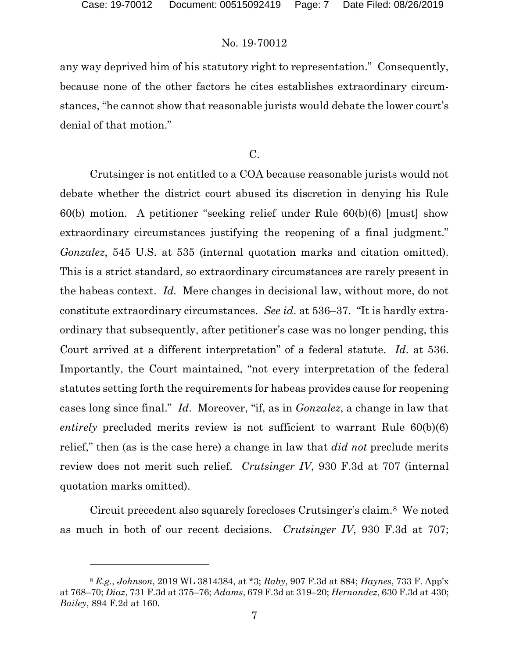$\overline{a}$ 

# No. 19-70012

any way deprived him of his statutory right to representation." Consequently, because none of the other factors he cites establishes extraordinary circumstances, "he cannot show that reasonable jurists would debate the lower court's denial of that motion."

C.

Crutsinger is not entitled to a COA because reasonable jurists would not debate whether the district court abused its discretion in denying his Rule 60(b) motion. A petitioner "seeking relief under Rule 60(b)(6) [must] show extraordinary circumstances justifying the reopening of a final judgment." *Gonzalez*, 545 U.S. at 535 (internal quotation marks and citation omitted). This is a strict standard, so extraordinary circumstances are rarely present in the habeas context. *Id.* Mere changes in decisional law, without more, do not constitute extraordinary circumstances. *See id*. at 536–37. "It is hardly extraordinary that subsequently, after petitioner's case was no longer pending, this Court arrived at a different interpretation" of a federal statute. *Id*. at 536. Importantly, the Court maintained, "not every interpretation of the federal statutes setting forth the requirements for habeas provides cause for reopening cases long since final." *Id*. Moreover, "if, as in *Gonzalez*, a change in law that *entirely* precluded merits review is not sufficient to warrant Rule 60(b)(6) relief," then (as is the case here) a change in law that *did not* preclude merits review does not merit such relief. *Crutsinger IV*, 930 F.3d at 707 (internal quotation marks omitted).

Circuit precedent also squarely forecloses Crutsinger's claim.[8](#page-6-0) We noted as much in both of our recent decisions. *Crutsinger IV*, 930 F.3d at 707;

<span id="page-6-0"></span><sup>8</sup> *E.g.*, *Johnson*, 2019 WL 3814384, at \*3; *Raby*, 907 F.3d at 884; *Haynes*, 733 F. App'x at 768–70; *Diaz*, 731 F.3d at 375–76; *Adams*, 679 F.3d at 319–20; *Hernandez*, 630 F.3d at 430; *Bailey*, 894 F.2d at 160.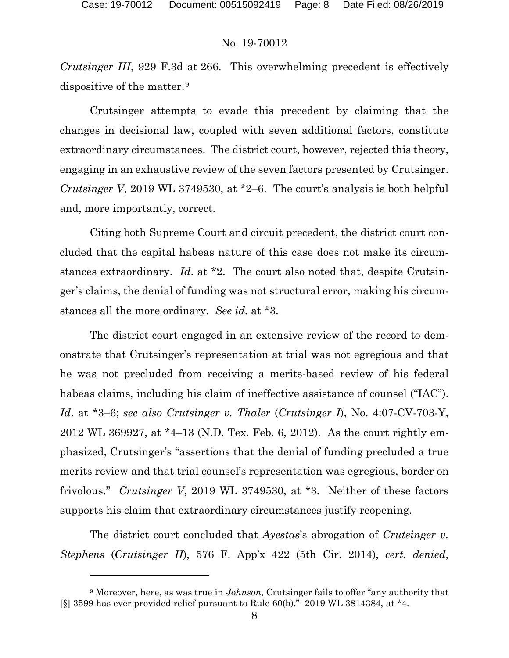# No. 19-70012

*Crutsinger III*, 929 F.3d at 266. This overwhelming precedent is effectively dispositive of the matter.[9](#page-7-0)

Crutsinger attempts to evade this precedent by claiming that the changes in decisional law, coupled with seven additional factors, constitute extraordinary circumstances. The district court, however, rejected this theory, engaging in an exhaustive review of the seven factors presented by Crutsinger. *Crutsinger V*, 2019 WL 3749530, at \*2–6. The court's analysis is both helpful and, more importantly, correct.

Citing both Supreme Court and circuit precedent, the district court concluded that the capital habeas nature of this case does not make its circumstances extraordinary. *Id*. at \*2. The court also noted that, despite Crutsinger's claims, the denial of funding was not structural error, making his circumstances all the more ordinary. *See id.* at \*3.

The district court engaged in an extensive review of the record to demonstrate that Crutsinger's representation at trial was not egregious and that he was not precluded from receiving a merits-based review of his federal habeas claims, including his claim of ineffective assistance of counsel ("IAC"). *Id*. at \*3–6; *see also Crutsinger v. Thaler* (*Crutsinger I*), No. 4:07-CV-703-Y, 2012 WL 369927, at \*4–13 (N.D. Tex. Feb. 6, 2012). As the court rightly emphasized, Crutsinger's "assertions that the denial of funding precluded a true merits review and that trial counsel's representation was egregious, border on frivolous." *Crutsinger V*, 2019 WL 3749530, at \*3. Neither of these factors supports his claim that extraordinary circumstances justify reopening.

The district court concluded that *Ayestas*'s abrogation of *Crutsinger v. Stephens* (*Crutsinger II*), 576 F. App'x 422 (5th Cir. 2014), *cert. denied*,

<span id="page-7-0"></span><sup>9</sup> Moreover, here, as was true in *Johnson*, Crutsinger fails to offer "any authority that [§] 3599 has ever provided relief pursuant to Rule 60(b)." 2019 WL 3814384, at \*4.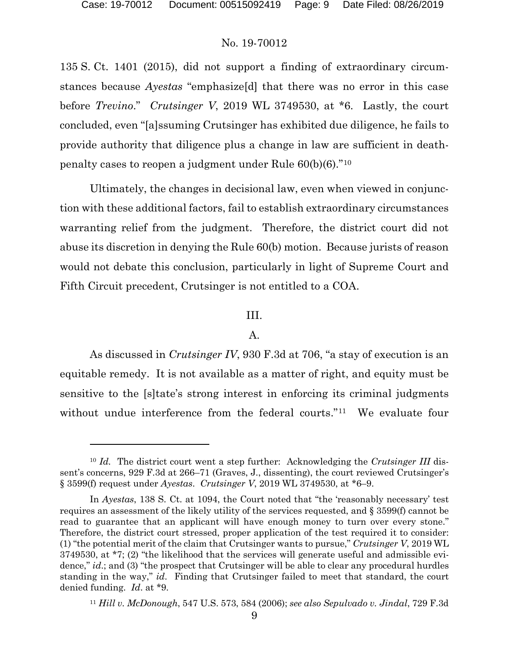$\overline{a}$ 

#### No. 19-70012

135 S. Ct. 1401 (2015), did not support a finding of extraordinary circumstances because *Ayestas* "emphasize[d] that there was no error in this case before *Trevino*." *Crutsinger V*, 2019 WL 3749530, at \*6. Lastly, the court concluded, even "[a]ssuming Crutsinger has exhibited due diligence, he fails to provide authority that diligence plus a change in law are sufficient in deathpenalty cases to reopen a judgment under Rule 60(b)(6)."[10](#page-8-0) 

Ultimately, the changes in decisional law, even when viewed in conjunction with these additional factors, fail to establish extraordinary circumstances warranting relief from the judgment. Therefore, the district court did not abuse its discretion in denying the Rule 60(b) motion. Because jurists of reason would not debate this conclusion, particularly in light of Supreme Court and Fifth Circuit precedent, Crutsinger is not entitled to a COA.

# III.

#### A.

As discussed in *Crutsinger IV*, 930 F.3d at 706, "a stay of execution is an equitable remedy. It is not available as a matter of right, and equity must be sensitive to the [s]tate's strong interest in enforcing its criminal judgments without undue interference from the federal courts."<sup>11</sup> We evaluate four

<span id="page-8-0"></span><sup>10</sup> *Id.* The district court went a step further: Acknowledging the *Crutsinger III* dissent's concerns, 929 F.3d at 266–71 (Graves, J., dissenting), the court reviewed Crutsinger's § 3599(f) request under *Ayestas*. *Crutsinger V*, 2019 WL 3749530, at \*6–9.

In *Ayestas*, 138 S. Ct. at 1094, the Court noted that "the 'reasonably necessary' test requires an assessment of the likely utility of the services requested, and § 3599(f) cannot be read to guarantee that an applicant will have enough money to turn over every stone." Therefore, the district court stressed, proper application of the test required it to consider: (1) "the potential merit of the claim that Crutsinger wants to pursue," *Crutsinger V*, 2019 WL 3749530, at \*7; (2) "the likelihood that the services will generate useful and admissible evidence," *id*.; and (3) "the prospect that Crutsinger will be able to clear any procedural hurdles standing in the way," *id*. Finding that Crutsinger failed to meet that standard, the court denied funding. *Id*. at \*9.

<span id="page-8-1"></span><sup>11</sup> *Hill v. McDonough*, 547 U.S. 573, 584 (2006); *see also Sepulvado v. Jindal*, 729 F.3d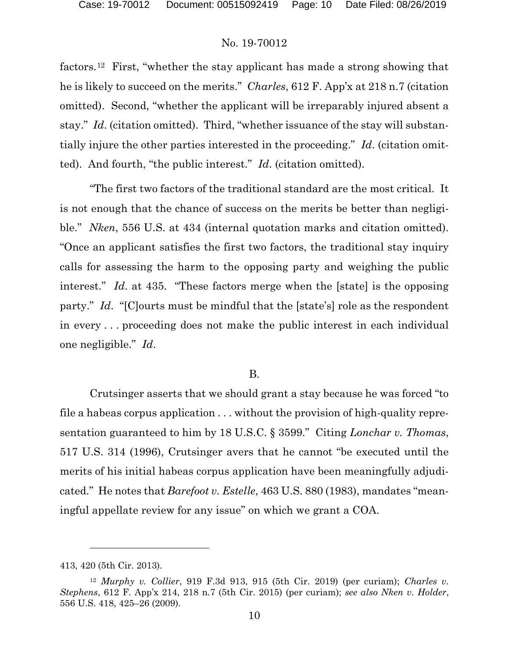# No. 19-70012

factors.[12](#page-9-0) First, "whether the stay applicant has made a strong showing that he is likely to succeed on the merits." *Charles*, 612 F. App'x at 218 n.7 (citation omitted). Second, "whether the applicant will be irreparably injured absent a stay." *Id*. (citation omitted). Third, "whether issuance of the stay will substantially injure the other parties interested in the proceeding." *Id*. (citation omitted). And fourth, "the public interest." *Id*. (citation omitted).

"The first two factors of the traditional standard are the most critical. It is not enough that the chance of success on the merits be better than negligible." *Nken*, 556 U.S. at 434 (internal quotation marks and citation omitted). "Once an applicant satisfies the first two factors, the traditional stay inquiry calls for assessing the harm to the opposing party and weighing the public interest." *Id*. at 435. "These factors merge when the [state] is the opposing party." *Id*. "[C]ourts must be mindful that the [state's] role as the respondent in every . . . proceeding does not make the public interest in each individual one negligible." *Id*.

# B.

Crutsinger asserts that we should grant a stay because he was forced "to file a habeas corpus application . . . without the provision of high-quality representation guaranteed to him by 18 U.S.C. § 3599." Citing *Lonchar v. Thomas*, 517 U.S. 314 (1996), Crutsinger avers that he cannot "be executed until the merits of his initial habeas corpus application have been meaningfully adjudicated." He notes that *Barefoot v. Estelle*, 463 U.S. 880 (1983), mandates "meaningful appellate review for any issue" on which we grant a COA.

 $\overline{a}$ 

<sup>413, 420 (5</sup>th Cir. 2013).

<span id="page-9-0"></span><sup>12</sup> *Murphy v. Collier*, 919 F.3d 913, 915 (5th Cir. 2019) (per curiam); *Charles v. Stephens*, 612 F. App'x 214, 218 n.7 (5th Cir. 2015) (per curiam); *see also Nken v. Holder*, 556 U.S. 418, 425–26 (2009).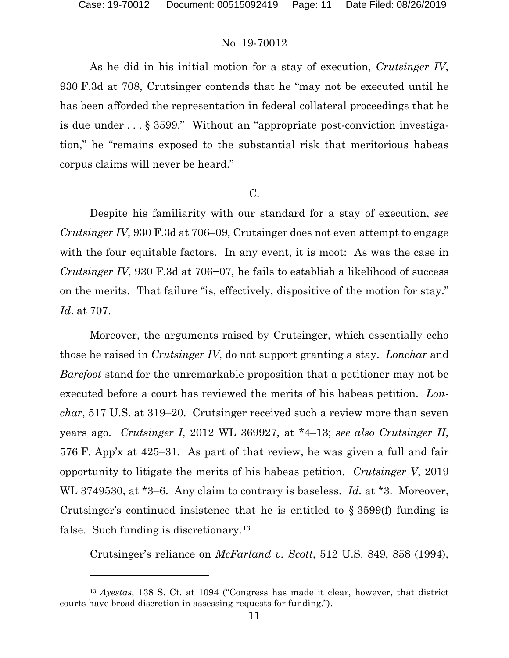# No. 19-70012

As he did in his initial motion for a stay of execution, *Crutsinger IV*, 930 F.3d at 708, Crutsinger contends that he "may not be executed until he has been afforded the representation in federal collateral proceedings that he is due under . . . § 3599." Without an "appropriate post-conviction investigation," he "remains exposed to the substantial risk that meritorious habeas corpus claims will never be heard."

# C.

Despite his familiarity with our standard for a stay of execution, *see Crutsinger IV*, 930 F.3d at 706–09, Crutsinger does not even attempt to engage with the four equitable factors. In any event, it is moot: As was the case in *Crutsinger IV*, 930 F.3d at 706–07, he fails to establish a likelihood of success on the merits. That failure "is, effectively, dispositive of the motion for stay." *Id*. at 707.

Moreover, the arguments raised by Crutsinger, which essentially echo those he raised in *Crutsinger IV*, do not support granting a stay. *Lonchar* and *Barefoot* stand for the unremarkable proposition that a petitioner may not be executed before a court has reviewed the merits of his habeas petition. *Lonchar*, 517 U.S. at 319–20. Crutsinger received such a review more than seven years ago. *Crutsinger I*, 2012 WL 369927, at \*4–13; *see also Crutsinger II*, 576 F. App'x at 425–31. As part of that review, he was given a full and fair opportunity to litigate the merits of his habeas petition. *Crutsinger V*, 2019 WL 3749530, at \*3–6. Any claim to contrary is baseless. *Id.* at \*3. Moreover, Crutsinger's continued insistence that he is entitled to § 3599(f) funding is false. Such funding is discretionary.<sup>[13](#page-10-0)</sup>

Crutsinger's reliance on *McFarland v. Scott*, 512 U.S. 849, 858 (1994),

<span id="page-10-0"></span><sup>13</sup> *Ayestas*, 138 S. Ct. at 1094 ("Congress has made it clear, however, that district courts have broad discretion in assessing requests for funding.").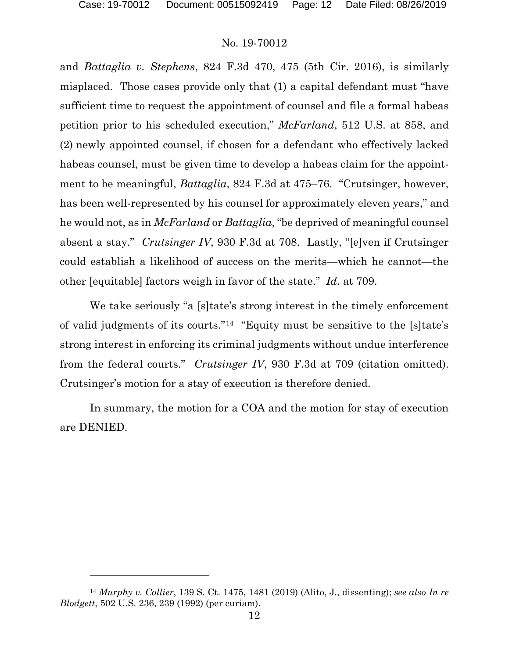# No. 19-70012

and *Battaglia v. Stephens*, 824 F.3d 470, 475 (5th Cir. 2016), is similarly misplaced. Those cases provide only that (1) a capital defendant must "have sufficient time to request the appointment of counsel and file a formal habeas petition prior to his scheduled execution," *McFarland*, 512 U.S. at 858, and (2) newly appointed counsel, if chosen for a defendant who effectively lacked habeas counsel, must be given time to develop a habeas claim for the appointment to be meaningful, *Battaglia*, 824 F.3d at 475–76. "Crutsinger, however, has been well-represented by his counsel for approximately eleven years," and he would not, as in *McFarland* or *Battaglia*, "be deprived of meaningful counsel absent a stay." *Crutsinger IV*, 930 F.3d at 708. Lastly, "[e]ven if Crutsinger could establish a likelihood of success on the merits—which he cannot—the other [equitable] factors weigh in favor of the state." *Id*. at 709.

We take seriously "a [s]tate's strong interest in the timely enforcement of valid judgments of its courts."[14](#page-11-0) "Equity must be sensitive to the [s]tate's strong interest in enforcing its criminal judgments without undue interference from the federal courts." *Crutsinger IV*, 930 F.3d at 709 (citation omitted). Crutsinger's motion for a stay of execution is therefore denied.

In summary, the motion for a COA and the motion for stay of execution are DENIED.

<span id="page-11-0"></span><sup>14</sup> *Murphy v. Collier*, 139 S. Ct. 1475, 1481 (2019) (Alito, J., dissenting); *see also In re Blodgett*, 502 U.S. 236, 239 (1992) (per curiam).